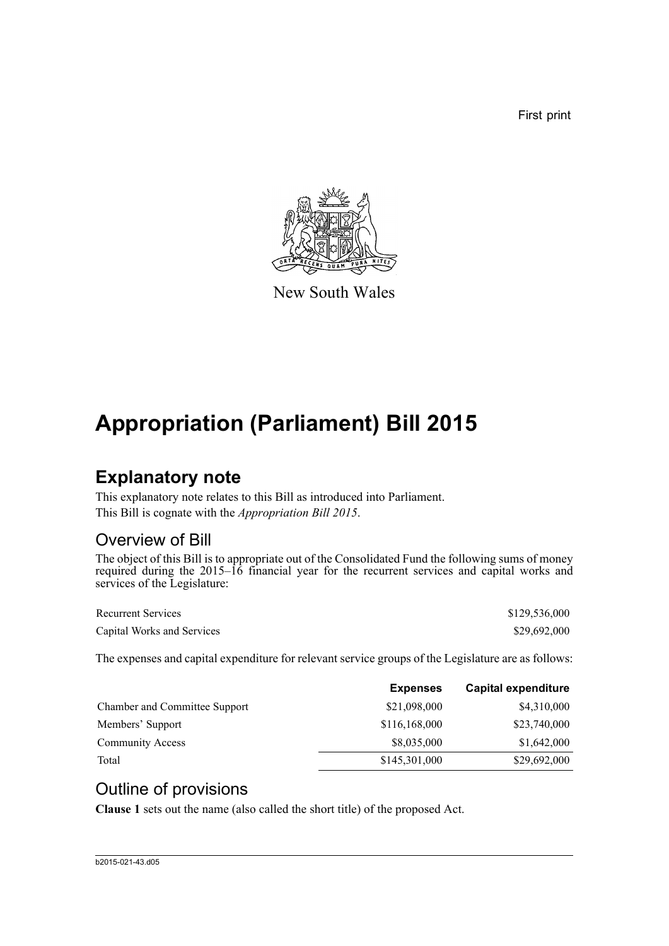First print



New South Wales

# **Appropriation (Parliament) Bill 2015**

### **Explanatory note**

This explanatory note relates to this Bill as introduced into Parliament. This Bill is cognate with the *Appropriation Bill 2015*.

### Overview of Bill

The object of this Bill is to appropriate out of the Consolidated Fund the following sums of money required during the 2015–16 financial year for the recurrent services and capital works and services of the Legislature:

| <b>Recurrent Services</b>  | \$129,536,000 |
|----------------------------|---------------|
| Capital Works and Services | \$29,692,000  |

The expenses and capital expenditure for relevant service groups of the Legislature are as follows:

|                                      | <b>Expenses</b> | <b>Capital expenditure</b> |
|--------------------------------------|-----------------|----------------------------|
| <b>Chamber and Committee Support</b> | \$21,098,000    | \$4,310,000                |
| Members' Support                     | \$116,168,000   | \$23,740,000               |
| <b>Community Access</b>              | \$8,035,000     | \$1,642,000                |
| Total                                | \$145,301,000   | \$29,692,000               |

### Outline of provisions

**Clause 1** sets out the name (also called the short title) of the proposed Act.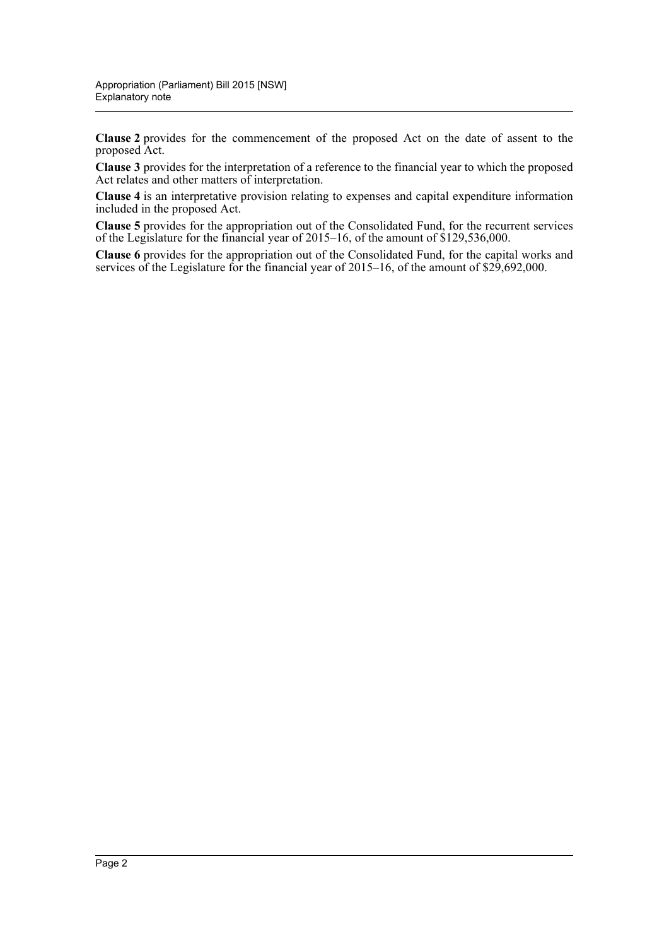**Clause 2** provides for the commencement of the proposed Act on the date of assent to the proposed Act.

**Clause 3** provides for the interpretation of a reference to the financial year to which the proposed Act relates and other matters of interpretation.

**Clause 4** is an interpretative provision relating to expenses and capital expenditure information included in the proposed Act.

**Clause 5** provides for the appropriation out of the Consolidated Fund, for the recurrent services of the Legislature for the financial year of 2015–16, of the amount of \$129,536,000.

**Clause 6** provides for the appropriation out of the Consolidated Fund, for the capital works and services of the Legislature for the financial year of 2015–16, of the amount of \$29,692,000.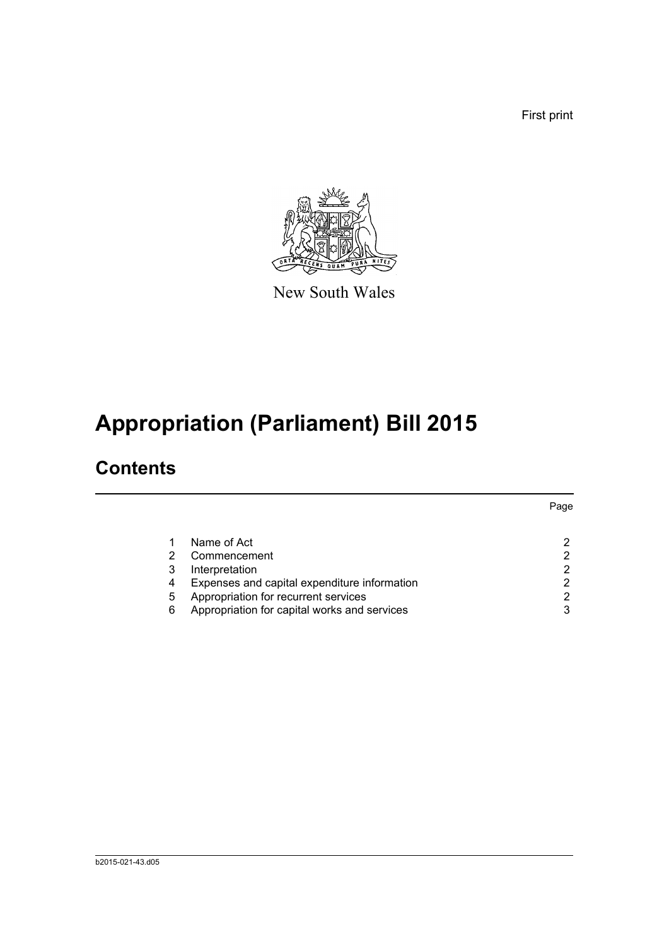First print



New South Wales

# **Appropriation (Parliament) Bill 2015**

## **Contents**

|   |                                              | Page |
|---|----------------------------------------------|------|
|   | Name of Act                                  |      |
|   | Commencement                                 | 2    |
| 3 | Interpretation                               | 2    |
| 4 | Expenses and capital expenditure information | 2    |
| 5 | Appropriation for recurrent services         | 2    |
| 6 | Appropriation for capital works and services | 3    |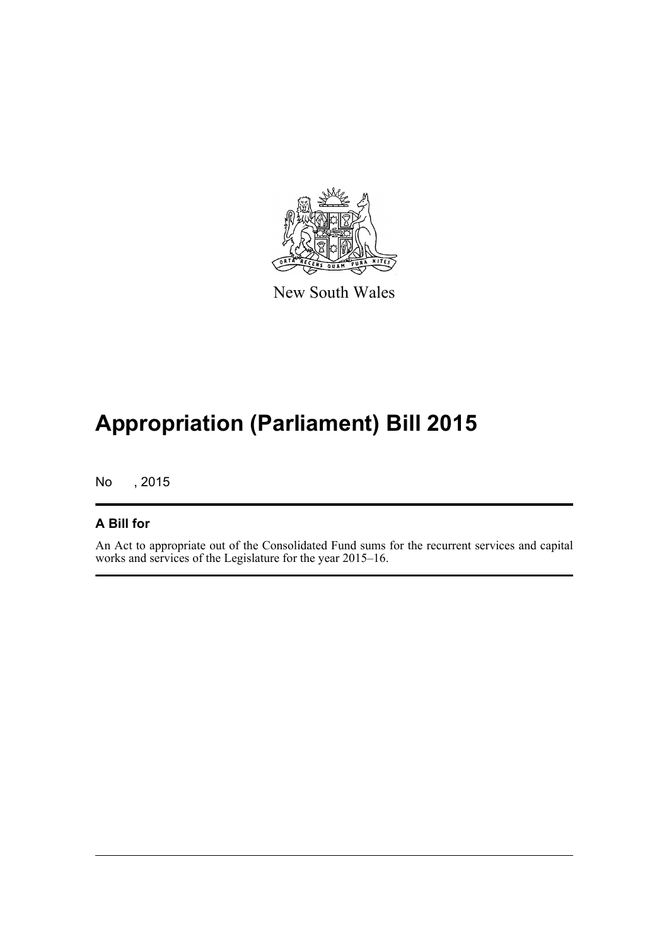

New South Wales

# **Appropriation (Parliament) Bill 2015**

No , 2015

#### **A Bill for**

An Act to appropriate out of the Consolidated Fund sums for the recurrent services and capital works and services of the Legislature for the year 2015–16.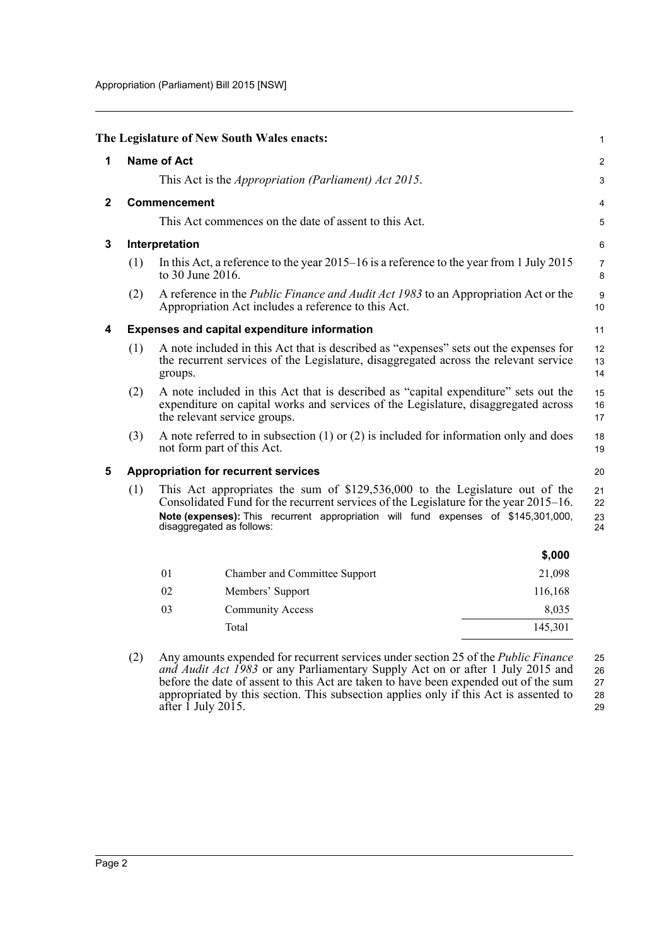<span id="page-4-3"></span><span id="page-4-2"></span><span id="page-4-1"></span><span id="page-4-0"></span>

|                                                                                                                                                                                                                                                                                                 |              |                    | The Legislature of New South Wales enacts:                                                                                                                                                                |         | 1              |
|-------------------------------------------------------------------------------------------------------------------------------------------------------------------------------------------------------------------------------------------------------------------------------------------------|--------------|--------------------|-----------------------------------------------------------------------------------------------------------------------------------------------------------------------------------------------------------|---------|----------------|
| 1                                                                                                                                                                                                                                                                                               |              | <b>Name of Act</b> |                                                                                                                                                                                                           |         | $\overline{2}$ |
|                                                                                                                                                                                                                                                                                                 |              |                    | This Act is the <i>Appropriation (Parliament) Act 2015</i> .                                                                                                                                              |         | 3              |
| $\mathbf{2}$                                                                                                                                                                                                                                                                                    | Commencement |                    |                                                                                                                                                                                                           |         | 4              |
|                                                                                                                                                                                                                                                                                                 |              |                    | This Act commences on the date of assent to this Act.                                                                                                                                                     |         | 5              |
| 3                                                                                                                                                                                                                                                                                               |              | Interpretation     |                                                                                                                                                                                                           |         | 6              |
|                                                                                                                                                                                                                                                                                                 | (1)          | to 30 June 2016.   | In this Act, a reference to the year $2015-16$ is a reference to the year from 1 July 2015                                                                                                                |         | 7<br>8         |
|                                                                                                                                                                                                                                                                                                 | (2)          |                    | A reference in the <i>Public Finance and Audit Act 1983</i> to an Appropriation Act or the<br>Appropriation Act includes a reference to this Act.                                                         |         | 9<br>10        |
| 4                                                                                                                                                                                                                                                                                               |              |                    | Expenses and capital expenditure information                                                                                                                                                              |         | 11             |
|                                                                                                                                                                                                                                                                                                 | (1)          | groups.            | A note included in this Act that is described as "expenses" sets out the expenses for<br>the recurrent services of the Legislature, disaggregated across the relevant service                             |         | 12<br>13<br>14 |
|                                                                                                                                                                                                                                                                                                 | (2)          |                    | A note included in this Act that is described as "capital expenditure" sets out the<br>expenditure on capital works and services of the Legislature, disaggregated across<br>the relevant service groups. |         | 15<br>16<br>17 |
|                                                                                                                                                                                                                                                                                                 | (3)          |                    | A note referred to in subsection $(1)$ or $(2)$ is included for information only and does<br>not form part of this Act.                                                                                   |         | 18<br>19       |
| 5                                                                                                                                                                                                                                                                                               |              |                    | <b>Appropriation for recurrent services</b>                                                                                                                                                               |         | 20             |
| This Act appropriates the sum of \$129,536,000 to the Legislature out of the<br>(1)<br>Consolidated Fund for the recurrent services of the Legislature for the year 2015–16.<br>Note (expenses): This recurrent appropriation will fund expenses of \$145,301,000,<br>disaggregated as follows: |              |                    | 21<br>22<br>23<br>24                                                                                                                                                                                      |         |                |
|                                                                                                                                                                                                                                                                                                 |              |                    |                                                                                                                                                                                                           | \$,000  |                |
|                                                                                                                                                                                                                                                                                                 |              | 01                 | Chamber and Committee Support                                                                                                                                                                             | 21,098  |                |
|                                                                                                                                                                                                                                                                                                 |              | 02                 | Members' Support                                                                                                                                                                                          | 116,168 |                |
|                                                                                                                                                                                                                                                                                                 |              | 03                 | <b>Community Access</b>                                                                                                                                                                                   | 8,035   |                |
|                                                                                                                                                                                                                                                                                                 |              |                    | Total                                                                                                                                                                                                     | 145,301 |                |

<span id="page-4-4"></span>(2) Any amounts expended for recurrent services under section 25 of the *Public Finance and Audit Act 1983* or any Parliamentary Supply Act on or after 1 July 2015 and before the date of assent to this Act are taken to have been expended out of the sum appropriated by this section. This subsection applies only if this Act is assented to after 1 July 2015. 25 26 27 28 29